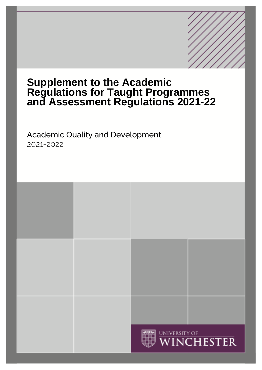# **Supplement to the Academic Regulations for Taught Programmes and Assessment Regulations 2021-22**

# Academic Quality and Development 2021-2022

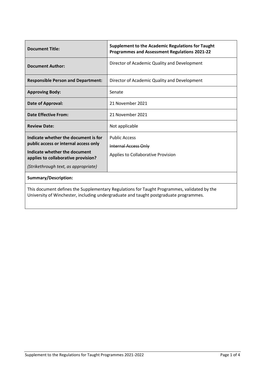| <b>Document Title:</b>                                                                                                                                                               | <b>Supplement to the Academic Regulations for Taught</b><br><b>Programmes and Assessment Regulations 2021-22</b> |  |
|--------------------------------------------------------------------------------------------------------------------------------------------------------------------------------------|------------------------------------------------------------------------------------------------------------------|--|
| <b>Document Author:</b>                                                                                                                                                              | Director of Academic Quality and Development                                                                     |  |
| <b>Responsible Person and Department:</b>                                                                                                                                            | Director of Academic Quality and Development                                                                     |  |
| <b>Approving Body:</b>                                                                                                                                                               | Senate                                                                                                           |  |
| Date of Approval:                                                                                                                                                                    | 21 November 2021                                                                                                 |  |
| <b>Date Effective From:</b>                                                                                                                                                          | 21 November 2021                                                                                                 |  |
| <b>Review Date:</b>                                                                                                                                                                  | Not applicable                                                                                                   |  |
| Indicate whether the document is for<br>public access or internal access only<br>Indicate whether the document<br>applies to collaborative provision?                                | <b>Public Access</b><br><b>Internal Access Only</b><br>Applies to Collaborative Provision                        |  |
| (Strikethrough text, as appropriate)                                                                                                                                                 |                                                                                                                  |  |
| <b>Summary/Description:</b>                                                                                                                                                          |                                                                                                                  |  |
| This document defines the Supplementary Regulations for Taught Programmes, validated by the<br>University of Winchester, including undergraduate and taught postgraduate programmes. |                                                                                                                  |  |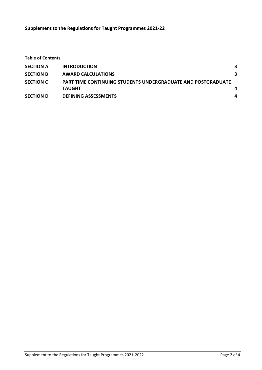**Supplement to the Regulations for Taught Programmes 2021-22**

| <b>Table of Contents</b> |                                                                                      |   |
|--------------------------|--------------------------------------------------------------------------------------|---|
| <b>SECTION A</b>         | <b>INTRODUCTION</b>                                                                  | 3 |
| <b>SECTION B</b>         | <b>AWARD CALCULATIONS</b>                                                            | 3 |
| <b>SECTION C</b>         | <b>PART TIME CONTINUING STUDENTS UNDERGRADUATE AND POSTGRADUATE</b><br><b>TAUGHT</b> | 4 |
| <b>SECTION D</b>         | <b>DEFINING ASSESSMENTS</b>                                                          | 4 |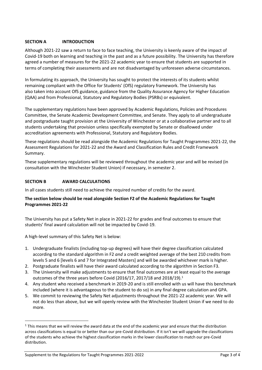# <span id="page-3-0"></span>**SECTION A INTRODUCTION**

Although 2021-22 saw a return to face to face teaching, the University is keenly aware of the impact of Covid-19 both on learning and teaching in the past and as a future possibility. The University has therefore agreed a number of measures for the 2021-22 academic year to ensure that students are supported in terms of completing their assessments and are not disadvantaged by unforeseen adverse circumstances.

In formulating its approach, the University has sought to protect the interests of its students whilst remaining compliant with the Office for Students' (OfS) regulatory framework. The University has also taken into account OfS guidance, guidance from the Quality Assurance Agency for Higher Education (QAA) and from Professional, Statutory and Regulatory Bodies (PSRBs) or equivalent.

The supplementary regulations have been approved by Academic Regulations, Policies and Procedures Committee, the Senate Academic Development Committee, and Senate. They apply to all undergraduate and postgraduate taught provision at the University of Winchester or at a collaborative partner and to all students undertaking that provision unless specifically exempted by Senate or disallowed under accreditation agreements with Professional, Statutory and Regulatory Bodies.

These regulations should be read alongside the Academic Regulations for Taught Programmes 2021-22, the Assessment Regulations for 2021-22 and the Award and Classification Rules and Credit Framework Summary.

These supplementary regulations will be reviewed throughout the academic year and will be revised (in consultation with the Winchester Student Union) if necessary, in semester 2.

# <span id="page-3-1"></span>**SECTION B AWARD CALCULATIONS**

In all cases students still need to achieve the required number of credits for the award.

# **The section below should be read alongside Section F2 of the Academic Regulations for Taught Programmes 2021-22**

The University has put a Safety Net in place in 2021-22 for grades and final outcomes to ensure that students' final award calculation will not be impacted by Covid-19.

A high-level summary of this Safety Net is below:

- 1. Undergraduate finalists (including top-up degrees) will have their degree classification calculated according to the standard algorithm in F2 *and* a credit weighted average of the best 210 credits from levels 5 and 6 [levels 6 and 7 for Integrated Masters] and will be awarded whichever mark is higher.
- 2. Postgraduate finalists will have their award calculated according to the algorithm in Section F3.
- 3. The University will make adjustments to ensure that final outcomes are at least equal to the average outcomes of the three years before Covid (2016/17, 2017/18 and 2018/19).<sup>1</sup>
- 4. Any student who received a benchmark in 2019-20 and is still enrolled with us will have this benchmark included (where it is advantageous to the student to do so) in any final degree calculation and GPA.
- 5. We commit to reviewing the Safety Net adjustments throughout the 2021-22 academic year. We will not do less than above, but we will openly review with the Winchester Student Union if we need to do more.

 $1$  This means that we will review the award data at the end of the academic year and ensure that the distribution across classifications is equal to or better than our pre-Covid distribution. If it isn't we will upgrade the classifications of the students who achieve the highest classification marks in the lower classification to match our pre-Covid distribution.

Supplement to the Regulations for Taught Programmes 2021-2022 Page 3 of 4